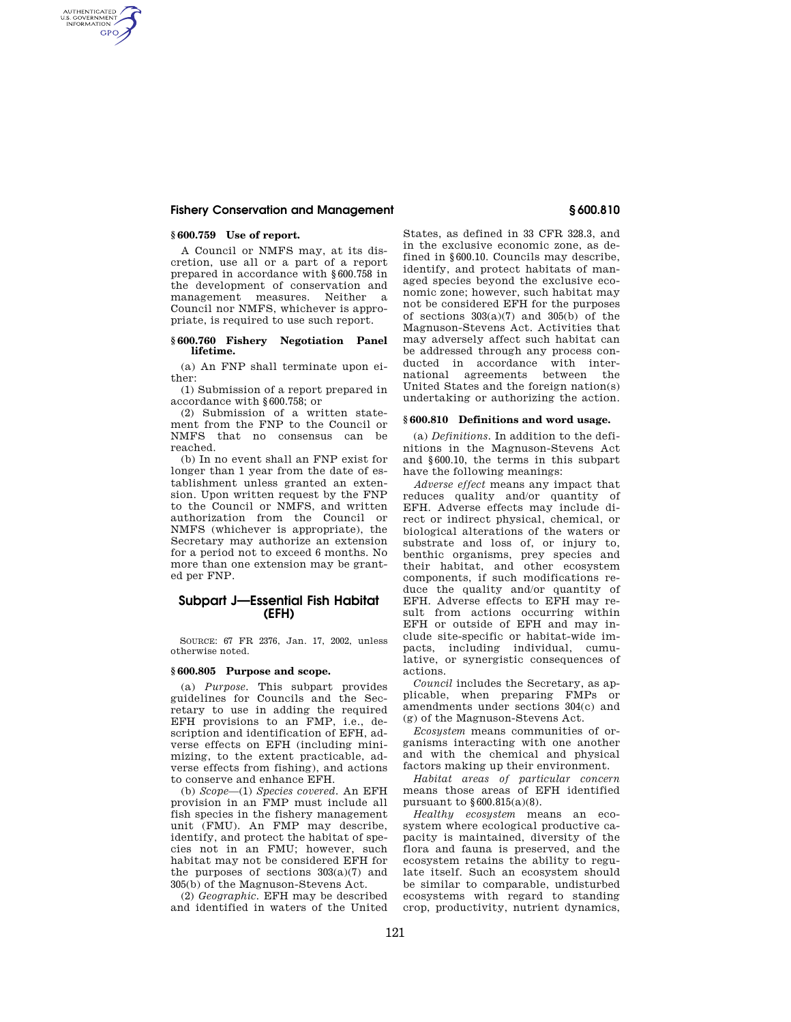## **Fishery Conservation and Management § 600.810**

## **§ 600.759 Use of report.**

AUTHENTICATED<br>U.S. GOVERNMENT<br>INFORMATION **GPO** 

> A Council or NMFS may, at its discretion, use all or a part of a report prepared in accordance with §600.758 in the development of conservation and management measures. Neither a Council nor NMFS, whichever is appropriate, is required to use such report.

### **§ 600.760 Fishery Negotiation Panel lifetime.**

(a) An FNP shall terminate upon either:

(1) Submission of a report prepared in accordance with §600.758; or

(2) Submission of a written statement from the FNP to the Council or NMFS that no consensus can be reached.

(b) In no event shall an FNP exist for longer than 1 year from the date of establishment unless granted an extension. Upon written request by the FNP to the Council or NMFS, and written authorization from the Council or NMFS (whichever is appropriate), the Secretary may authorize an extension for a period not to exceed 6 months. No more than one extension may be granted per FNP.

# **Subpart J—Essential Fish Habitat (EFH)**

SOURCE: 67 FR 2376, Jan. 17, 2002, unless otherwise noted.

### **§ 600.805 Purpose and scope.**

(a) *Purpose.* This subpart provides guidelines for Councils and the Secretary to use in adding the required EFH provisions to an FMP, i.e., description and identification of EFH, adverse effects on EFH (including minimizing, to the extent practicable, adverse effects from fishing), and actions to conserve and enhance EFH.

(b) *Scope*—(1) *Species covered.* An EFH provision in an FMP must include all fish species in the fishery management unit (FMU). An FMP may describe, identify, and protect the habitat of species not in an FMU; however, such habitat may not be considered EFH for the purposes of sections  $303(a)(7)$  and 305(b) of the Magnuson-Stevens Act.

(2) *Geographic.* EFH may be described and identified in waters of the United

States, as defined in 33 CFR 328.3, and in the exclusive economic zone, as defined in §600.10. Councils may describe, identify, and protect habitats of managed species beyond the exclusive economic zone; however, such habitat may not be considered EFH for the purposes of sections 303(a)(7) and 305(b) of the Magnuson-Stevens Act. Activities that may adversely affect such habitat can be addressed through any process conducted in accordance with international agreements between the United States and the foreign nation(s) undertaking or authorizing the action.

## **§ 600.810 Definitions and word usage.**

(a) *Definitions.* In addition to the definitions in the Magnuson-Stevens Act and §600.10, the terms in this subpart have the following meanings:

*Adverse effect* means any impact that reduces quality and/or quantity of EFH. Adverse effects may include direct or indirect physical, chemical, or biological alterations of the waters or substrate and loss of, or injury to, benthic organisms, prey species and their habitat, and other ecosystem components, if such modifications reduce the quality and/or quantity of EFH. Adverse effects to EFH may result from actions occurring within EFH or outside of EFH and may include site-specific or habitat-wide impacts, including individual, cumulative, or synergistic consequences of actions.

*Council* includes the Secretary, as applicable, when preparing FMPs or amendments under sections 304(c) and (g) of the Magnuson-Stevens Act.

*Ecosystem* means communities of organisms interacting with one another and with the chemical and physical factors making up their environment.

*Habitat areas of particular concern*  means those areas of EFH identified pursuant to  $§ 600.815(a)(8)$ .

*Healthy ecosystem* means an ecosystem where ecological productive capacity is maintained, diversity of the flora and fauna is preserved, and the ecosystem retains the ability to regulate itself. Such an ecosystem should be similar to comparable, undisturbed ecosystems with regard to standing crop, productivity, nutrient dynamics,